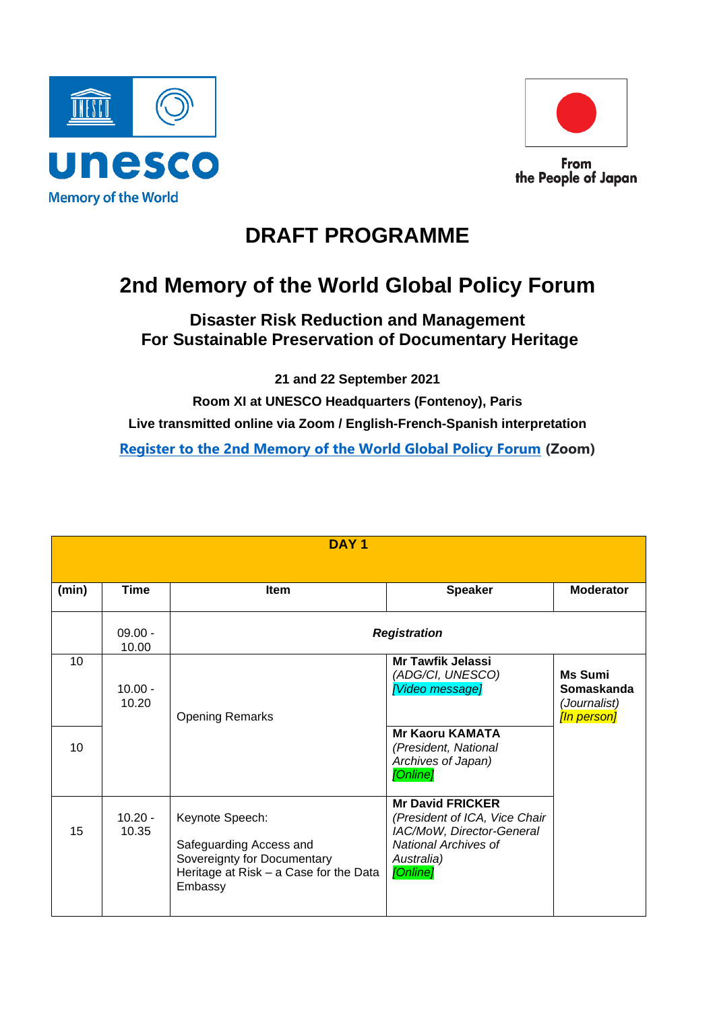



From the People of Japan

## **DRAFT PROGRAMME**

## **2nd Memory of the World Global Policy Forum**

## **Disaster Risk Reduction and Management For Sustainable Preservation of Documentary Heritage**

**21 and 22 September 2021**

**Room XI at UNESCO Headquarters (Fontenoy), Paris Live transmitted online via Zoom / English-French-Spanish interpretation [Register to the 2nd Memory of the World Global Policy Forum](https://unesco-org.zoom.us/webinar/register/WN_HhC1CQ-3RyO71xcW4lmRmA) (Zoom)**

| DAY <sub>1</sub> |                    |                                                                                                                                |                                                                                                                                         |                                                             |
|------------------|--------------------|--------------------------------------------------------------------------------------------------------------------------------|-----------------------------------------------------------------------------------------------------------------------------------------|-------------------------------------------------------------|
|                  |                    |                                                                                                                                |                                                                                                                                         |                                                             |
| (min)            | <b>Time</b>        | <b>Item</b>                                                                                                                    | <b>Speaker</b>                                                                                                                          | <b>Moderator</b>                                            |
|                  | $09.00 -$<br>10.00 | <b>Registration</b>                                                                                                            |                                                                                                                                         |                                                             |
| 10               | $10.00 -$<br>10.20 | <b>Opening Remarks</b>                                                                                                         | <b>Mr Tawfik Jelassi</b><br>(ADG/CI, UNESCO)<br>[Video message]                                                                         | <b>Ms Sumi</b><br>Somaskanda<br>(Journalist)<br>[In person] |
| 10               |                    |                                                                                                                                | <b>Mr Kaoru KAMATA</b><br>(President, National<br>Archives of Japan)<br>[Online]                                                        |                                                             |
| 15               | $10.20 -$<br>10.35 | Keynote Speech:<br>Safeguarding Access and<br>Sovereignty for Documentary<br>Heritage at Risk – a Case for the Data<br>Embassy | <b>Mr David FRICKER</b><br>(President of ICA, Vice Chair<br>IAC/MoW, Director-General<br>National Archives of<br>Australia)<br>[Online] |                                                             |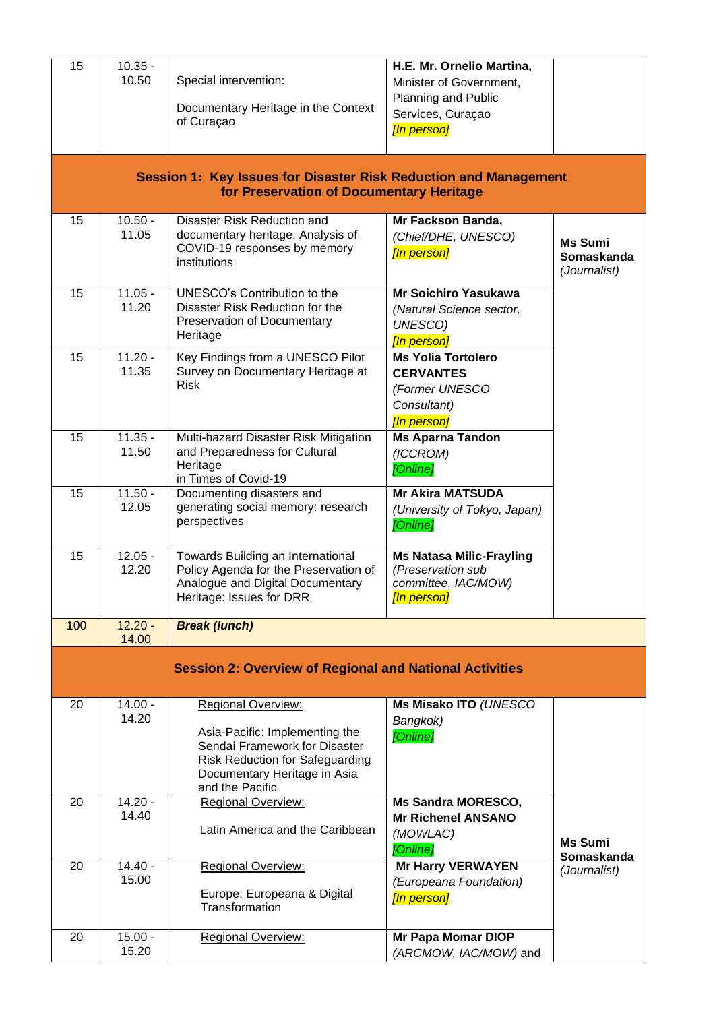| 15                                                             | $10.35 -$<br>10.50                                                                                           | Special intervention:<br>Documentary Heritage in the Context<br>of Curaçao                                                                                                         | H.E. Mr. Ornelio Martina,<br>Minister of Government,<br>Planning and Public<br>Services, Curaçao<br>[In person] |                                              |  |  |
|----------------------------------------------------------------|--------------------------------------------------------------------------------------------------------------|------------------------------------------------------------------------------------------------------------------------------------------------------------------------------------|-----------------------------------------------------------------------------------------------------------------|----------------------------------------------|--|--|
|                                                                | Session 1: Key Issues for Disaster Risk Reduction and Management<br>for Preservation of Documentary Heritage |                                                                                                                                                                                    |                                                                                                                 |                                              |  |  |
| 15                                                             | $10.50 -$<br>11.05                                                                                           | Disaster Risk Reduction and<br>documentary heritage: Analysis of<br>COVID-19 responses by memory<br>institutions                                                                   | Mr Fackson Banda,<br>(Chief/DHE, UNESCO)<br>[In person]                                                         | <b>Ms Sumi</b><br>Somaskanda<br>(Journalist) |  |  |
| 15                                                             | $11.05 -$<br>11.20                                                                                           | UNESCO's Contribution to the<br>Disaster Risk Reduction for the<br>Preservation of Documentary<br>Heritage                                                                         | <b>Mr Soichiro Yasukawa</b><br>(Natural Science sector,<br>UNESCO)<br>[In person]                               |                                              |  |  |
| 15                                                             | $11.20 -$<br>11.35                                                                                           | Key Findings from a UNESCO Pilot<br>Survey on Documentary Heritage at<br><b>Risk</b>                                                                                               | <b>Ms Yolia Tortolero</b><br><b>CERVANTES</b><br>(Former UNESCO<br>Consultant)<br>[In person]                   |                                              |  |  |
| 15                                                             | $11.35 -$<br>11.50                                                                                           | Multi-hazard Disaster Risk Mitigation<br>and Preparedness for Cultural<br>Heritage<br>in Times of Covid-19                                                                         | <b>Ms Aparna Tandon</b><br>(ICCROM)<br>[Online]                                                                 |                                              |  |  |
| 15                                                             | $11.50 -$<br>12.05                                                                                           | Documenting disasters and<br>generating social memory: research<br>perspectives                                                                                                    | <b>Mr Akira MATSUDA</b><br>(University of Tokyo, Japan)<br>[Online]                                             |                                              |  |  |
| 15                                                             | $12.05 -$<br>12.20                                                                                           | Towards Building an International<br>Policy Agenda for the Preservation of<br>Analogue and Digital Documentary<br>Heritage: Issues for DRR                                         | <b>Ms Natasa Milic-Frayling</b><br>(Preservation sub<br>committee, IAC/MOW)<br>[In person]                      |                                              |  |  |
| 100                                                            | $12.20 -$<br>14.00                                                                                           | <b>Break (lunch)</b>                                                                                                                                                               |                                                                                                                 |                                              |  |  |
| <b>Session 2: Overview of Regional and National Activities</b> |                                                                                                              |                                                                                                                                                                                    |                                                                                                                 |                                              |  |  |
| 20                                                             | $14.00 -$<br>14.20                                                                                           | Regional Overview:<br>Asia-Pacific: Implementing the<br>Sendai Framework for Disaster<br><b>Risk Reduction for Safeguarding</b><br>Documentary Heritage in Asia<br>and the Pacific | Ms Misako ITO (UNESCO<br>Bangkok)<br>[Online]                                                                   |                                              |  |  |
| 20                                                             | $14.20 -$<br>14.40                                                                                           | Regional Overview:<br>Latin America and the Caribbean                                                                                                                              | <b>Ms Sandra MORESCO,</b><br><b>Mr Richenel ANSANO</b><br>(MOWLAC)<br>[Online]                                  | <b>Ms Sumi</b><br>Somaskanda                 |  |  |
| 20                                                             | $14.40 -$<br>15.00                                                                                           | <b>Regional Overview:</b><br>Europe: Europeana & Digital<br>Transformation                                                                                                         | <b>Mr Harry VERWAYEN</b><br>(Europeana Foundation)<br>[In person]                                               | (Journalist)                                 |  |  |
| 20                                                             | $15.00 -$<br>15.20                                                                                           | <b>Regional Overview:</b>                                                                                                                                                          | Mr Papa Momar DIOP<br>(ARCMOW, IAC/MOW) and                                                                     |                                              |  |  |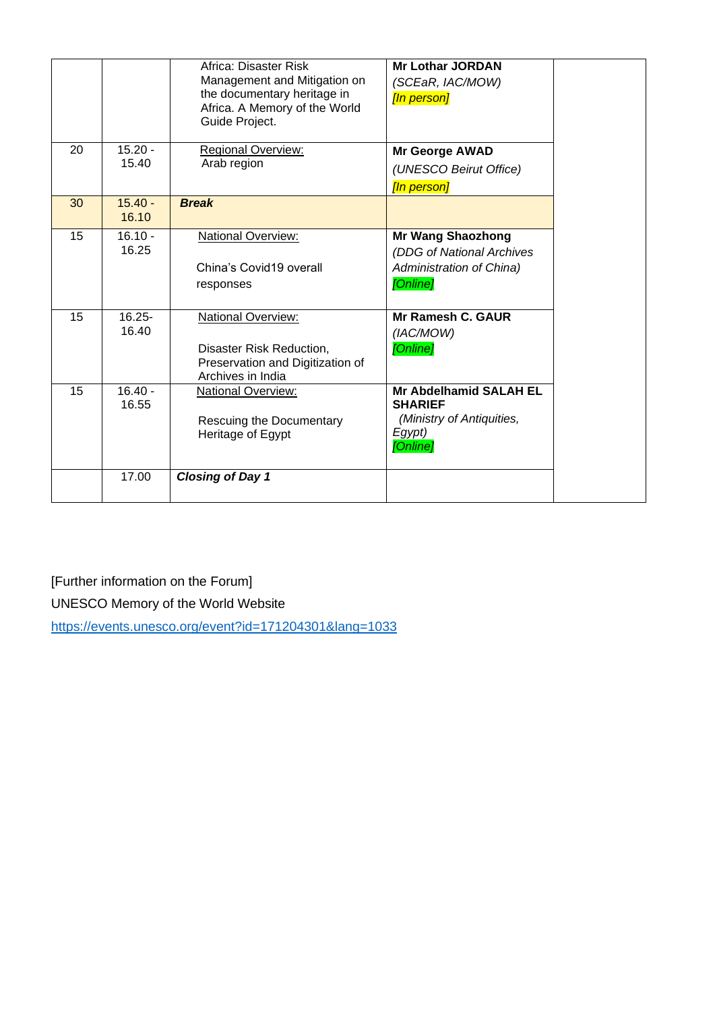|    |                    | Africa: Disaster Risk<br>Management and Mitigation on<br>the documentary heritage in<br>Africa. A Memory of the World<br>Guide Project. | <b>Mr Lothar JORDAN</b><br>(SCEaR, IAC/MOW)<br>[In person]                                         |
|----|--------------------|-----------------------------------------------------------------------------------------------------------------------------------------|----------------------------------------------------------------------------------------------------|
| 20 | $15.20 -$<br>15.40 | <b>Regional Overview:</b><br>Arab region                                                                                                | <b>Mr George AWAD</b><br>(UNESCO Beirut Office)<br>[In person]                                     |
| 30 | $15.40 -$<br>16.10 | <b>Break</b>                                                                                                                            |                                                                                                    |
| 15 | $16.10 -$<br>16.25 | National Overview:<br>China's Covid19 overall<br>responses                                                                              | <b>Mr Wang Shaozhong</b><br>(DDG of National Archives<br>Administration of China)<br>[Online]      |
| 15 | $16.25 -$<br>16.40 | National Overview:<br>Disaster Risk Reduction,<br>Preservation and Digitization of<br>Archives in India                                 | Mr Ramesh C. GAUR<br>(IAC/MOW)<br>[Online]                                                         |
| 15 | $16.40 -$<br>16.55 | National Overview:<br>Rescuing the Documentary<br>Heritage of Egypt                                                                     | <b>Mr Abdelhamid SALAH EL</b><br><b>SHARIEF</b><br>(Ministry of Antiquities,<br>Egypt)<br>[Online] |
|    | 17.00              | <b>Closing of Day 1</b>                                                                                                                 |                                                                                                    |

[Further information on the Forum] UNESCO Memory of the World Website

<https://events.unesco.org/event?id=171204301&lang=1033>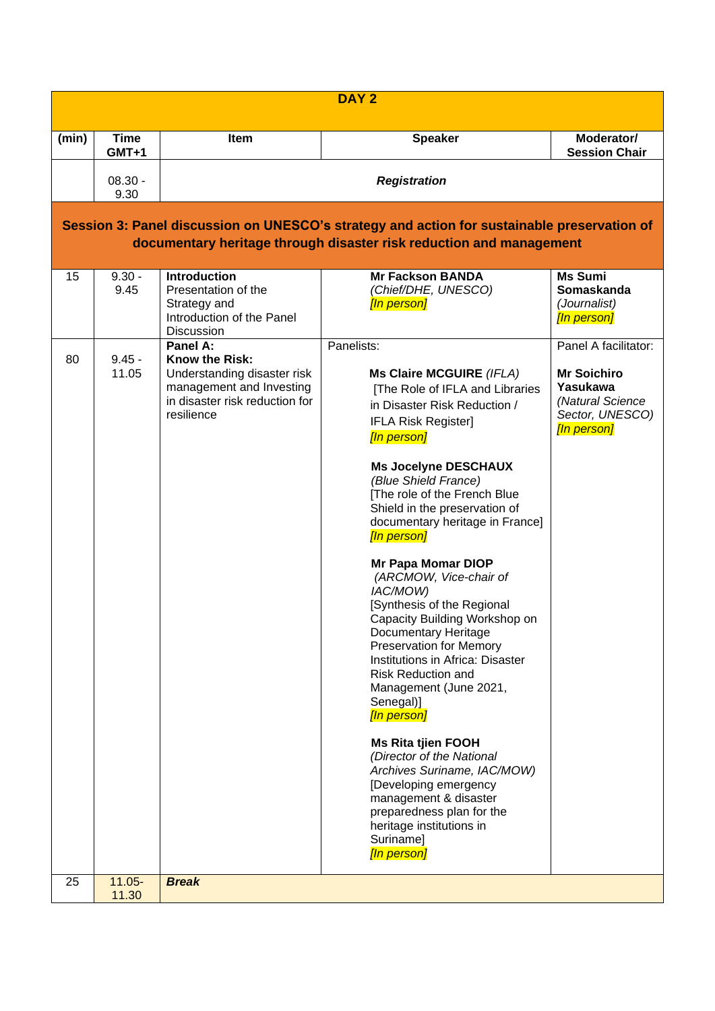| DAY <sub>2</sub> |                                                                                                                                                                    |                                                                                                                                              |                                                                                                                                                                                                                                                                                                                                                                                                                                                                                                                                                                                                                                                                                                                                                                                                                                                                                     |                                                                                                              |  |  |
|------------------|--------------------------------------------------------------------------------------------------------------------------------------------------------------------|----------------------------------------------------------------------------------------------------------------------------------------------|-------------------------------------------------------------------------------------------------------------------------------------------------------------------------------------------------------------------------------------------------------------------------------------------------------------------------------------------------------------------------------------------------------------------------------------------------------------------------------------------------------------------------------------------------------------------------------------------------------------------------------------------------------------------------------------------------------------------------------------------------------------------------------------------------------------------------------------------------------------------------------------|--------------------------------------------------------------------------------------------------------------|--|--|
| (min)            | <b>Time</b><br>GMT+1                                                                                                                                               | <b>Item</b>                                                                                                                                  | <b>Speaker</b>                                                                                                                                                                                                                                                                                                                                                                                                                                                                                                                                                                                                                                                                                                                                                                                                                                                                      | Moderator/<br><b>Session Chair</b>                                                                           |  |  |
|                  | $08.30 -$<br>9.30                                                                                                                                                  | <b>Registration</b>                                                                                                                          |                                                                                                                                                                                                                                                                                                                                                                                                                                                                                                                                                                                                                                                                                                                                                                                                                                                                                     |                                                                                                              |  |  |
|                  | Session 3: Panel discussion on UNESCO's strategy and action for sustainable preservation of<br>documentary heritage through disaster risk reduction and management |                                                                                                                                              |                                                                                                                                                                                                                                                                                                                                                                                                                                                                                                                                                                                                                                                                                                                                                                                                                                                                                     |                                                                                                              |  |  |
| 15               | $9.30 -$<br>9.45                                                                                                                                                   | <b>Introduction</b><br>Presentation of the<br>Strategy and<br>Introduction of the Panel<br><b>Discussion</b>                                 | <b>Mr Fackson BANDA</b><br>(Chief/DHE, UNESCO)<br>[In person]                                                                                                                                                                                                                                                                                                                                                                                                                                                                                                                                                                                                                                                                                                                                                                                                                       | <b>Ms Sumi</b><br><b>Somaskanda</b><br>(Journalist)<br>[In person]                                           |  |  |
| 80               | $9.45 -$<br>11.05                                                                                                                                                  | Panel A:<br><b>Know the Risk:</b><br>Understanding disaster risk<br>management and Investing<br>in disaster risk reduction for<br>resilience | Panelists:<br>Ms Claire MCGUIRE (IFLA)<br>[The Role of IFLA and Libraries<br>in Disaster Risk Reduction /<br><b>IFLA Risk Register]</b><br>[In person]<br><b>Ms Jocelyne DESCHAUX</b><br>(Blue Shield France)<br>[The role of the French Blue<br>Shield in the preservation of<br>documentary heritage in France]<br>[In person]<br><b>Mr Papa Momar DIOP</b><br>(ARCMOW, Vice-chair of<br>IAC/MOW)<br>[Synthesis of the Regional<br>Capacity Building Workshop on<br>Documentary Heritage<br><b>Preservation for Memory</b><br>Institutions in Africa: Disaster<br><b>Risk Reduction and</b><br>Management (June 2021,<br>Senegal)]<br>[In person]<br><b>Ms Rita tjien FOOH</b><br>(Director of the National<br>Archives Suriname, IAC/MOW)<br>[Developing emergency<br>management & disaster<br>preparedness plan for the<br>heritage institutions in<br>Suriname]<br>[In person] | Panel A facilitator:<br><b>Mr Soichiro</b><br>Yasukawa<br>(Natural Science<br>Sector, UNESCO)<br>[In person] |  |  |
| 25               | $11.05 -$<br>11.30                                                                                                                                                 | <b>Break</b>                                                                                                                                 |                                                                                                                                                                                                                                                                                                                                                                                                                                                                                                                                                                                                                                                                                                                                                                                                                                                                                     |                                                                                                              |  |  |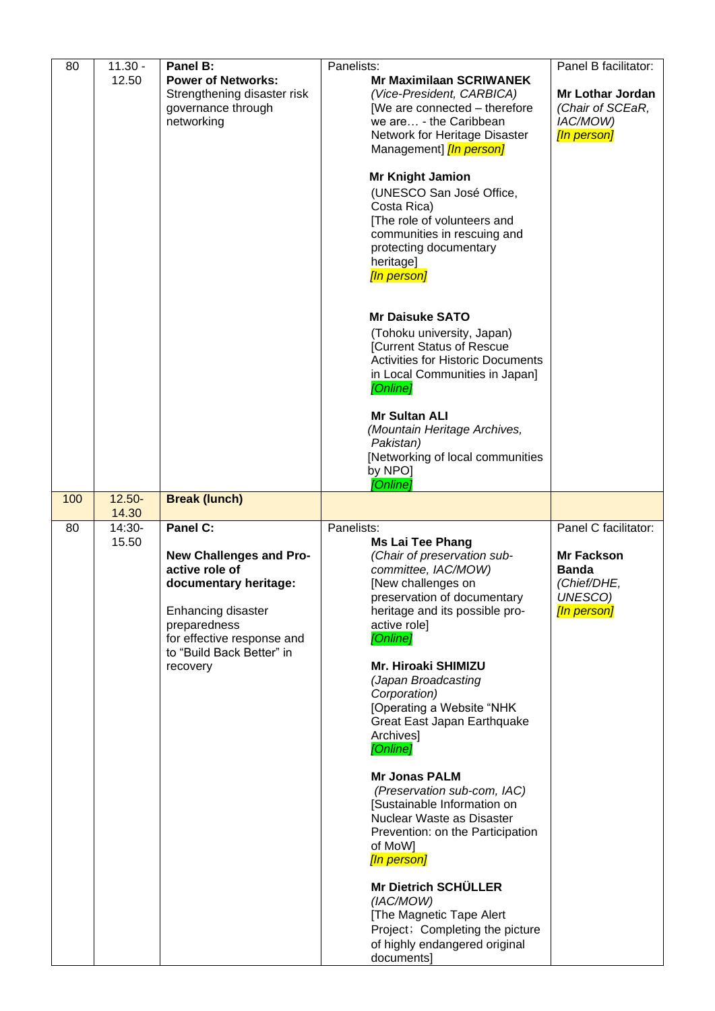| 80  | $11.30 -$<br>12.50 | Panel B:<br><b>Power of Networks:</b><br>Strengthening disaster risk<br>governance through<br>networking                                                                                    | Panelists:<br><b>Mr Maximilaan SCRIWANEK</b><br>(Vice-President, CARBICA)<br>[We are connected - therefore<br>we are - the Caribbean<br>Network for Heritage Disaster<br>Management] [In person]<br><b>Mr Knight Jamion</b><br>(UNESCO San José Office,<br>Costa Rica)<br>[The role of volunteers and<br>communities in rescuing and<br>protecting documentary<br>heritage]<br>[In person]<br><b>Mr Daisuke SATO</b><br>(Tohoku university, Japan)<br><b>[Current Status of Rescue</b><br><b>Activities for Historic Documents</b><br>in Local Communities in Japan]<br>[Online]                                                                                                                                    | Panel B facilitator:<br>Mr Lothar Jordan<br>(Chair of SCEaR,<br>IAC/MOW)<br>[In person]            |
|-----|--------------------|---------------------------------------------------------------------------------------------------------------------------------------------------------------------------------------------|---------------------------------------------------------------------------------------------------------------------------------------------------------------------------------------------------------------------------------------------------------------------------------------------------------------------------------------------------------------------------------------------------------------------------------------------------------------------------------------------------------------------------------------------------------------------------------------------------------------------------------------------------------------------------------------------------------------------|----------------------------------------------------------------------------------------------------|
|     |                    |                                                                                                                                                                                             | <b>Mr Sultan ALI</b><br>(Mountain Heritage Archives,<br>Pakistan)<br>[Networking of local communities<br>by NPO]<br>[Online]                                                                                                                                                                                                                                                                                                                                                                                                                                                                                                                                                                                        |                                                                                                    |
| 100 | $12.50 -$<br>14.30 | <b>Break (lunch)</b>                                                                                                                                                                        |                                                                                                                                                                                                                                                                                                                                                                                                                                                                                                                                                                                                                                                                                                                     |                                                                                                    |
| 80  | 14:30-<br>15.50    | Panel C:<br>New Challenges and Pro-<br>active role of<br>documentary heritage:<br>Enhancing disaster<br>preparedness<br>for effective response and<br>to "Build Back Better" in<br>recovery | Panelists:<br><b>Ms Lai Tee Phang</b><br>(Chair of preservation sub-<br>committee, IAC/MOW)<br>[New challenges on<br>preservation of documentary<br>heritage and its possible pro-<br>active role]<br>[Online]<br><b>Mr. Hiroaki SHIMIZU</b><br>(Japan Broadcasting<br>Corporation)<br>[Operating a Website "NHK<br>Great East Japan Earthquake<br>Archives]<br>[Online]<br><b>Mr Jonas PALM</b><br>(Preservation sub-com, IAC)<br>[Sustainable Information on<br>Nuclear Waste as Disaster<br>Prevention: on the Participation<br>of MoW]<br>[In person]<br><b>Mr Dietrich SCHÜLLER</b><br>(IAC/MOW)<br>[The Magnetic Tape Alert<br>Project; Completing the picture<br>of highly endangered original<br>documents] | Panel C facilitator:<br><b>Mr Fackson</b><br><b>Banda</b><br>(Chief/DHE,<br>UNESCO)<br>[In person] |